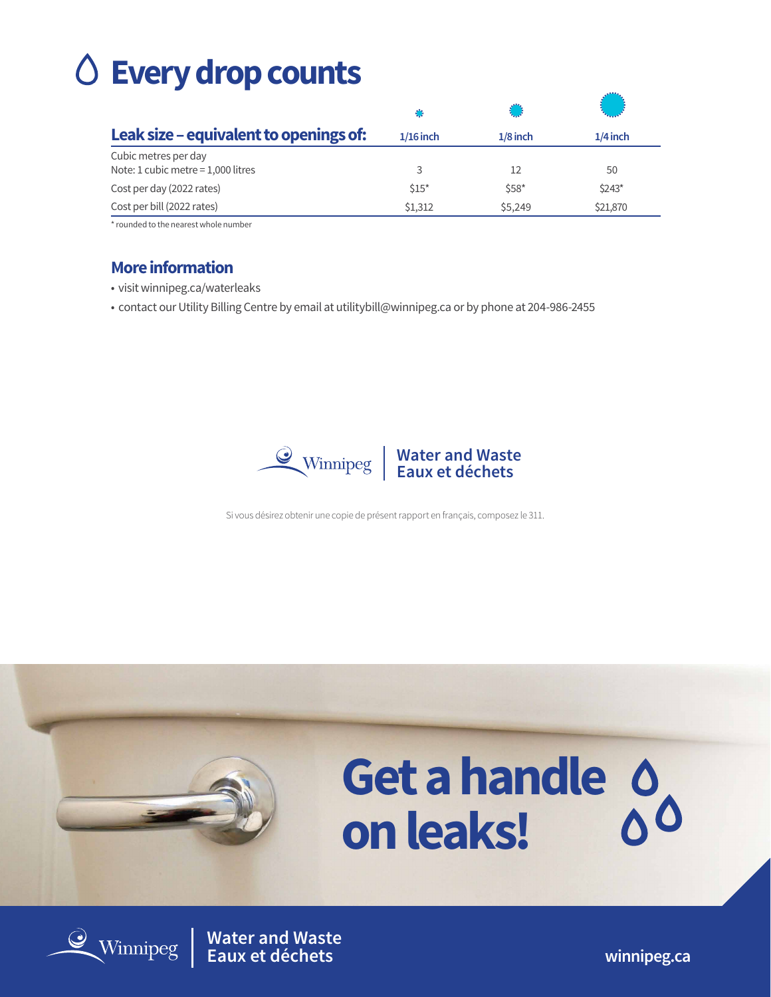# **Every drop counts**

|                                                              | O           |            |            |
|--------------------------------------------------------------|-------------|------------|------------|
| Leak size – equivalent to openings of:                       | $1/16$ inch | $1/8$ inch | $1/4$ inch |
| Cubic metres per day<br>Note: 1 cubic metre = $1,000$ litres | 3           | 12         | 50         |
| Cost per day (2022 rates)                                    | \$15"       | $$58*$     | $$243*$    |
| Cost per bill (2022 rates)                                   | \$1,312     | \$5,249    | \$21,870   |

\* rounded to the nearest whole number

#### **More information**

- visit winnipeg.ca/waterleaks
- contact our Utility Billing Centre by email at utilitybill@winnipeg.ca or by phone at 204-986-2455



Si vous désirez obtenir une copie de présent rapport en français, composez le 311.



**Water and Waste Eaux et déchets winnipeg.ca**